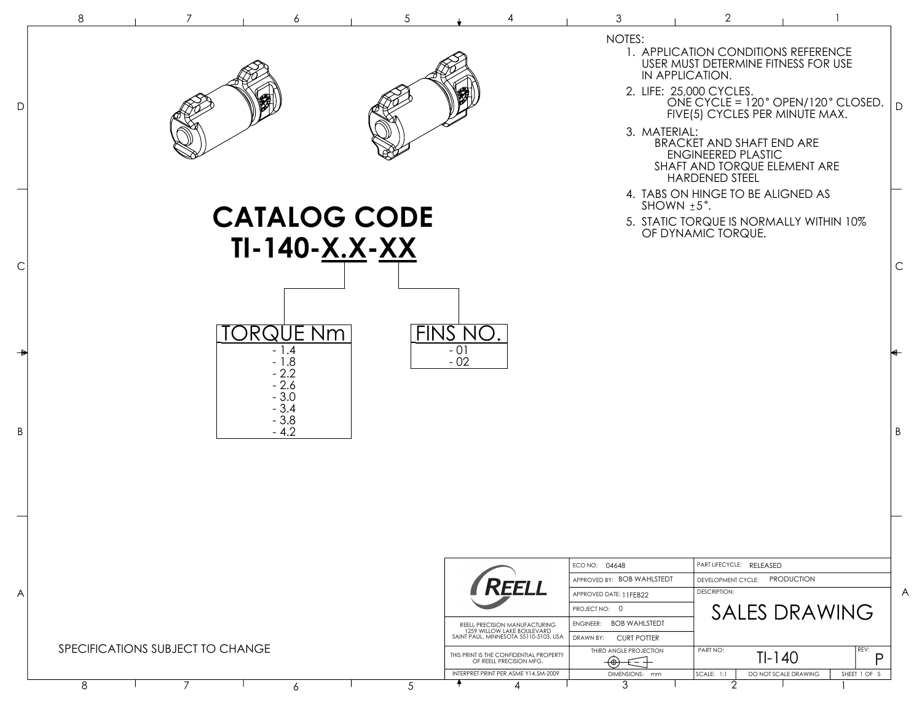|              | 8<br>3<br>2<br>7                                                                                                                                                                                                                                                                                                                                     |              |
|--------------|------------------------------------------------------------------------------------------------------------------------------------------------------------------------------------------------------------------------------------------------------------------------------------------------------------------------------------------------------|--------------|
| D            | NOTES:<br>1. APPLICATION CONDITIONS REFERENCE<br>USER MUST DETERMINE FITNESS FOR USE<br>IN APPLICATION.<br>2. LIFE: 25,000 CYCLES.<br>ONE CYCLE = 120° OPEN/120° CLOSED.<br>FIVE(5) CYCLES PER MINUTE MAX.<br>3. MATERIAL:<br>BRACKET AND SHAFT END ARE<br><b>ENGINEERED PLASTIC</b><br>SHAFT AND TORQUE ELEMENT ARE<br><b>HARDENED STEEL</b>        | $\mathsf{D}$ |
|              | 4. TABS ON HINGE TO BE ALIGNED AS<br>SHOWN $±5^\circ$ .<br><b>CATALOG CODE</b><br>5. STATIC TORQUE IS NORMALLY WITHIN 10%<br>OF DYNAMIC TORQUE.                                                                                                                                                                                                      |              |
| $\mathsf{C}$ | TI-140-X.X-XX                                                                                                                                                                                                                                                                                                                                        | $\mathsf C$  |
| D            | FINS NO.<br><b>ORQUE Nm</b><br>$-01$<br>$-1.4$<br>$-1.8$<br>$-02$<br>$-2.2$<br>$-2.6$                                                                                                                                                                                                                                                                |              |
|              | $-3.0$<br>$-3.4$<br>$-3.8$<br>$-4.2$                                                                                                                                                                                                                                                                                                                 | $\sf B$      |
|              |                                                                                                                                                                                                                                                                                                                                                      |              |
|              | PART LIFECYCLE: RELEASED<br>ECO NO: 04648                                                                                                                                                                                                                                                                                                            |              |
| A            | APPROVED BY: BOB WAHLSTEDT<br>DEVELOPMENT CYCLE: PRODUCTION<br>REELL<br><b>DESCRIPTION:</b><br>APPROVED DATE: 11FEB22<br><b>SALES DRAWING</b><br>PROJECT NO: 0                                                                                                                                                                                       | A            |
|              | ENGINEER: BOB WAHLSTEDT<br>REELL PRECISION MANUFACTURING<br>1259 WILLOW LAKE BOULEVARD<br>SAINT PAUL, MINNESOTA 55110-5103, USA<br>DRAWN BY: CURT POTTER<br>SPECIFICATIONS SUBJECT TO CHANGE<br>PART NO:<br>REV:<br>THIRD ANGLE PROJECTION<br>$TI-140$<br>THIS PRINT IS THE CONFIDENTIAL PROPERTY<br>D<br>OF REELL PRECISION MFG.<br>$\Theta$<br>€ + |              |
|              | INTERPRET PRINT PER ASME Y14.5M-2009<br>DO NOT SCALE DRAWING<br>SHEET 1 OF 5<br>DIMENSIONS: mm<br>SCALE: 1:1<br>3<br>8<br>7<br>2<br>5<br>6                                                                                                                                                                                                           |              |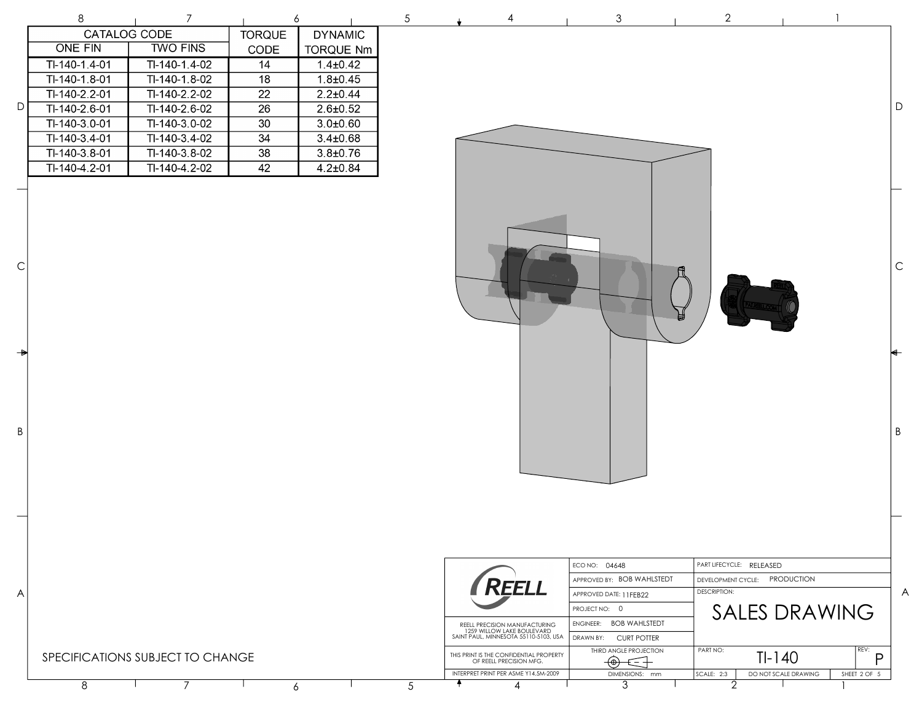|                    | 8              | 7                                |                 | 6                | $\sqrt{5}$                    |                                                                     | $\mathfrak 3$                         | $\overline{2}$                |                                      |             |
|--------------------|----------------|----------------------------------|-----------------|------------------|-------------------------------|---------------------------------------------------------------------|---------------------------------------|-------------------------------|--------------------------------------|-------------|
|                    | CATALOG CODE   |                                  | <b>TORQUE</b>   | <b>DYNAMIC</b>   |                               |                                                                     |                                       |                               |                                      |             |
|                    | <b>ONE FIN</b> | <b>TWO FINS</b>                  | CODE            | <b>TORQUE Nm</b> |                               |                                                                     |                                       |                               |                                      |             |
|                    | TI-140-1.4-01  | $TI-140-1.4-02$                  | $\overline{14}$ | $1.4 + 0.42$     |                               |                                                                     |                                       |                               |                                      |             |
|                    | TI-140-1.8-01  | $TI-140-1.8-02$                  | $\overline{18}$ | $1.8 + 0.45$     |                               |                                                                     |                                       |                               |                                      |             |
|                    | TI-140-2.2-01  | $TI-140-2.2-02$                  | $\overline{22}$ | $2.2 \pm 0.44$   |                               |                                                                     |                                       |                               |                                      |             |
| $\mathsf D$        | TI-140-2.6-01  | TI-140-2.6-02                    | $\overline{26}$ | $2.6 \pm 0.52$   |                               |                                                                     |                                       |                               |                                      | $\mathsf D$ |
|                    | TI-140-3.0-01  | TI-140-3.0-02                    | 30              | $3.0 + 0.60$     |                               |                                                                     |                                       |                               |                                      |             |
|                    | TI-140-3.4-01  | TI-140-3.4-02                    | $\overline{34}$ | $3.4 \pm 0.68$   |                               |                                                                     |                                       |                               |                                      |             |
|                    | TI-140-3.8-01  | TI-140-3.8-02                    | $\overline{38}$ | $3.8 + 0.76$     |                               |                                                                     |                                       |                               |                                      |             |
|                    | TI-140-4.2-01  | TI-140-4.2-02                    | 42              | $4.2 \pm 0.84$   |                               |                                                                     |                                       |                               |                                      |             |
| $\mathsf{C}$       |                |                                  |                 |                  |                               |                                                                     |                                       |                               |                                      | $\mathsf C$ |
| $\rightarrow$<br>Β |                |                                  |                 |                  |                               |                                                                     |                                       |                               |                                      | $\sf B$     |
|                    |                |                                  |                 |                  |                               |                                                                     |                                       |                               |                                      |             |
|                    |                |                                  |                 |                  |                               |                                                                     | ECO NO: 04648                         | PART LIFECYCLE: RELEASED      |                                      |             |
|                    |                |                                  |                 |                  |                               | REELL                                                               | APPROVED BY: BOB WAHLSTEDT            | DEVELOPMENT CYCLE: PRODUCTION |                                      |             |
| A                  |                |                                  |                 |                  |                               |                                                                     | APPROVED DATE: 11FEB22                | <b>DESCRIPTION:</b>           |                                      | A           |
|                    |                |                                  |                 |                  |                               |                                                                     | PROJECT NO: 0                         |                               | <b>SALES DRAWING</b>                 |             |
|                    |                |                                  |                 |                  | REELL PRECISION MANUFACTURING | ENGINEER: BOB WAHLSTEDT                                             |                                       |                               |                                      |             |
|                    |                |                                  |                 |                  |                               | 1259 WILLOW LAKE BOULEVARD<br>SAINT PAUL, MINNESOTA 55110-5103, USA | DRAWN BY: CURT POTTER                 |                               |                                      |             |
|                    |                | SPECIFICATIONS SUBJECT TO CHANGE |                 |                  |                               | THIS PRINT IS THE CONFIDENTIAL PROPERTY<br>OF REELL PRECISION MFG.  | THIRD ANGLE PROJECTION<br>$\bigoplus$ | PART NO:<br>$TI-140$          | REV:<br>P                            |             |
|                    | 8              | $\overline{7}$                   |                 | 6                | 5                             | INTERPRET PRINT PER ASME Y14.5M-2009<br>4<br>4                      | DIMENSIONS: mm<br>3                   | SCALE: 2:3<br>2               | DO NOT SCALE DRAWING<br>SHEET 2 OF 5 |             |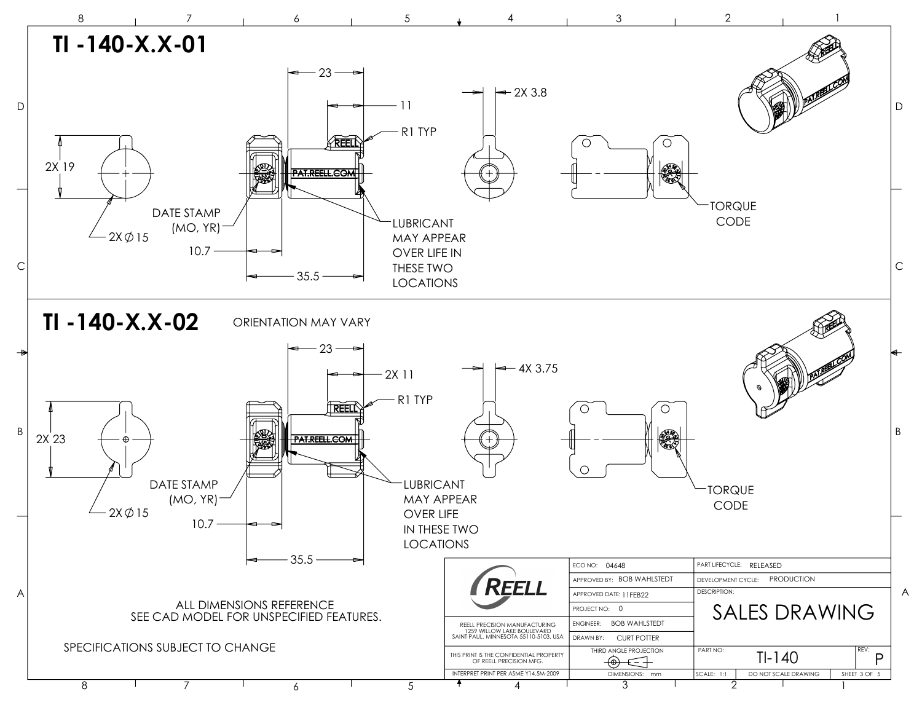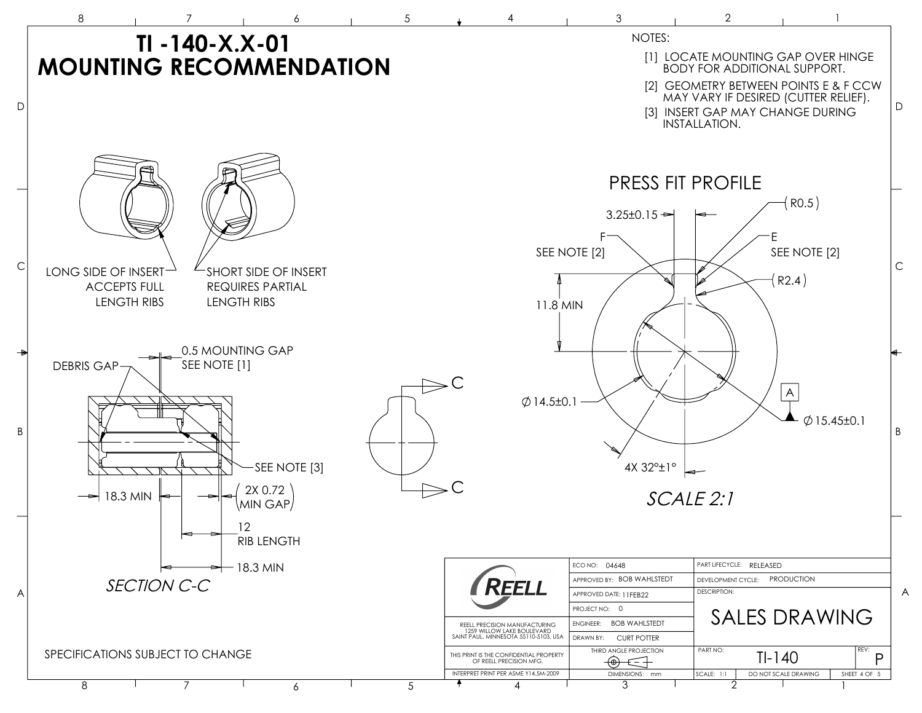